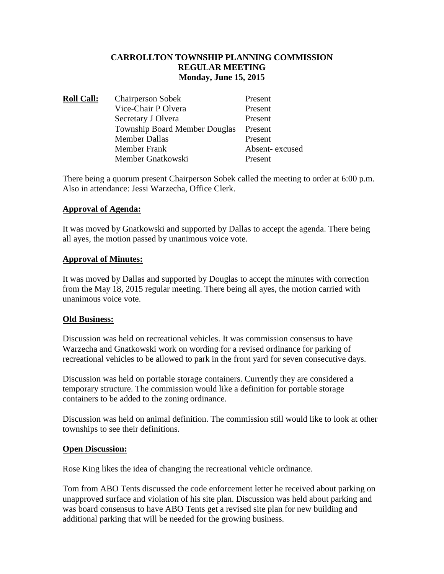## **CARROLLTON TOWNSHIP PLANNING COMMISSION REGULAR MEETING Monday, June 15, 2015**

| <b>Roll Call:</b> | <b>Chairperson Sobek</b>             | Present        |
|-------------------|--------------------------------------|----------------|
|                   | Vice-Chair P Olvera                  | Present        |
|                   | Secretary J Olvera                   | Present        |
|                   | <b>Township Board Member Douglas</b> | Present        |
|                   | <b>Member Dallas</b>                 | Present        |
|                   | Member Frank                         | Absent-excused |
|                   | Member Gnatkowski                    | Present        |

There being a quorum present Chairperson Sobek called the meeting to order at 6:00 p.m. Also in attendance: Jessi Warzecha, Office Clerk.

## **Approval of Agenda:**

It was moved by Gnatkowski and supported by Dallas to accept the agenda. There being all ayes, the motion passed by unanimous voice vote.

#### **Approval of Minutes:**

It was moved by Dallas and supported by Douglas to accept the minutes with correction from the May 18, 2015 regular meeting. There being all ayes, the motion carried with unanimous voice vote.

#### **Old Business:**

Discussion was held on recreational vehicles. It was commission consensus to have Warzecha and Gnatkowski work on wording for a revised ordinance for parking of recreational vehicles to be allowed to park in the front yard for seven consecutive days.

Discussion was held on portable storage containers. Currently they are considered a temporary structure. The commission would like a definition for portable storage containers to be added to the zoning ordinance.

Discussion was held on animal definition. The commission still would like to look at other townships to see their definitions.

#### **Open Discussion:**

Rose King likes the idea of changing the recreational vehicle ordinance.

Tom from ABO Tents discussed the code enforcement letter he received about parking on unapproved surface and violation of his site plan. Discussion was held about parking and was board consensus to have ABO Tents get a revised site plan for new building and additional parking that will be needed for the growing business.